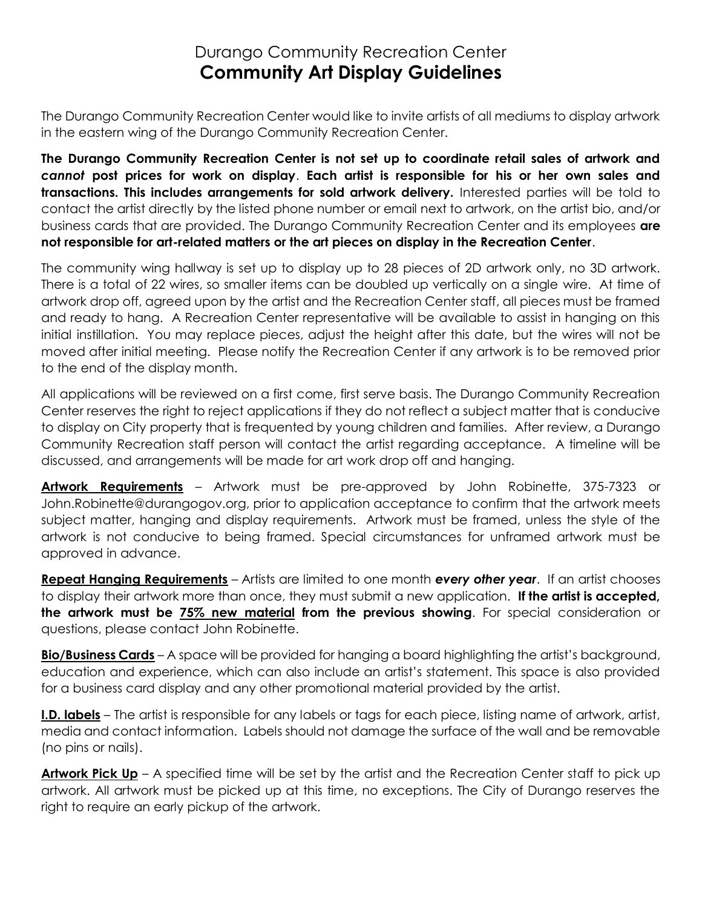## Durango Community Recreation Center **Community Art Display Guidelines**

The Durango Community Recreation Center would like to invite artists of all mediums to display artwork in the eastern wing of the Durango Community Recreation Center.

**The Durango Community Recreation Center is not set up to coordinate retail sales of artwork and** *cannot* **post prices for work on display**. **Each artist is responsible for his or her own sales and transactions. This includes arrangements for sold artwork delivery.** Interested parties will be told to contact the artist directly by the listed phone number or email next to artwork, on the artist bio, and/or business cards that are provided. The Durango Community Recreation Center and its employees **are not responsible for art-related matters or the art pieces on display in the Recreation Center**.

The community wing hallway is set up to display up to 28 pieces of 2D artwork only, no 3D artwork. There is a total of 22 wires, so smaller items can be doubled up vertically on a single wire. At time of artwork drop off, agreed upon by the artist and the Recreation Center staff, all pieces must be framed and ready to hang. A Recreation Center representative will be available to assist in hanging on this initial instillation. You may replace pieces, adjust the height after this date, but the wires will not be moved after initial meeting. Please notify the Recreation Center if any artwork is to be removed prior to the end of the display month.

All applications will be reviewed on a first come, first serve basis. The Durango Community Recreation Center reserves the right to reject applications if they do not reflect a subject matter that is conducive to display on City property that is frequented by young children and families. After review, a Durango Community Recreation staff person will contact the artist regarding acceptance. A timeline will be discussed, and arrangements will be made for art work drop off and hanging.

**Artwork Requirements** – Artwork must be pre-approved by John Robinette, 375-7323 or John.Robinette@durangogov.org, prior to application acceptance to confirm that the artwork meets subject matter, hanging and display requirements. Artwork must be framed, unless the style of the artwork is not conducive to being framed. Special circumstances for unframed artwork must be approved in advance.

**Repeat Hanging Requirements** – Artists are limited to one month *every other year*. If an artist chooses to display their artwork more than once, they must submit a new application. **If the artist is accepted, the artwork must be 75% new material from the previous showing**. For special consideration or questions, please contact John Robinette.

**Bio/Business Cards** – A space will be provided for hanging a board highlighting the artist's background, education and experience, which can also include an artist's statement. This space is also provided for a business card display and any other promotional material provided by the artist.

**I.D. labels** – The artist is responsible for any labels or tags for each piece, listing name of artwork, artist, media and contact information. Labels should not damage the surface of the wall and be removable (no pins or nails).

**Artwork Pick Up** – A specified time will be set by the artist and the Recreation Center staff to pick up artwork. All artwork must be picked up at this time, no exceptions. The City of Durango reserves the right to require an early pickup of the artwork.